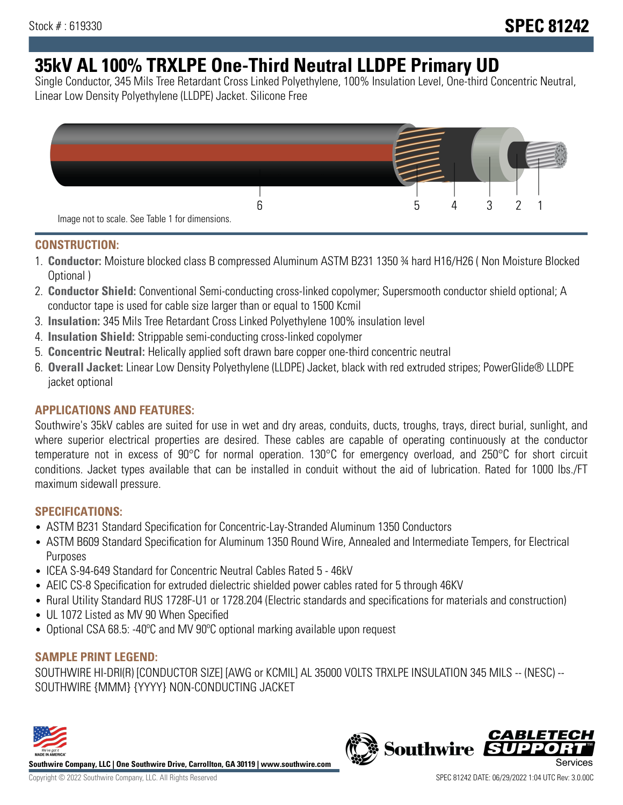# **35kV AL 100% TRXLPE One-Third Neutral LLDPE Primary UD**

Single Conductor, 345 Mils Tree Retardant Cross Linked Polyethylene, 100% Insulation Level, One-third Concentric Neutral, Linear Low Density Polyethylene (LLDPE) Jacket. Silicone Free



# **CONSTRUCTION:**

- 1. **Conductor:** Moisture blocked class B compressed Aluminum ASTM B231 1350 ¾ hard H16/H26 ( Non Moisture Blocked Optional )
- 2. **Conductor Shield:** Conventional Semi-conducting cross-linked copolymer; Supersmooth conductor shield optional; A conductor tape is used for cable size larger than or equal to 1500 Kcmil
- 3. **Insulation:** 345 Mils Tree Retardant Cross Linked Polyethylene 100% insulation level
- 4. **Insulation Shield:** Strippable semi-conducting cross-linked copolymer
- 5. **Concentric Neutral:** Helically applied soft drawn bare copper one-third concentric neutral
- 6. **Overall Jacket:** Linear Low Density Polyethylene (LLDPE) Jacket, black with red extruded stripes; PowerGlide® LLDPE jacket optional

# **APPLICATIONS AND FEATURES:**

Southwire's 35kV cables are suited for use in wet and dry areas, conduits, ducts, troughs, trays, direct burial, sunlight, and where superior electrical properties are desired. These cables are capable of operating continuously at the conductor temperature not in excess of 90°C for normal operation. 130°C for emergency overload, and 250°C for short circuit conditions. Jacket types available that can be installed in conduit without the aid of lubrication. Rated for 1000 lbs./FT maximum sidewall pressure.

# **SPECIFICATIONS:**

- ASTM B231 Standard Specification for Concentric-Lay-Stranded Aluminum 1350 Conductors
- ASTM B609 Standard Specification for Aluminum 1350 Round Wire, Annealed and Intermediate Tempers, for Electrical Purposes
- ICEA S-94-649 Standard for Concentric Neutral Cables Rated 5 46kV
- AEIC CS-8 Specification for extruded dielectric shielded power cables rated for 5 through 46KV
- Rural Utility Standard RUS 1728F-U1 or 1728.204 (Electric standards and specifications for materials and construction)
- UL 1072 Listed as MV 90 When Specified
- Optional CSA 68.5: -40ºC and MV 90ºC optional marking available upon request

# **SAMPLE PRINT LEGEND:**

SOUTHWIRE HI-DRI(R) [CONDUCTOR SIZE] [AWG or KCMIL] AL 35000 VOLTS TRXLPE INSULATION 345 MILS -- (NESC) -- SOUTHWIRE {MMM} {YYYY} NON-CONDUCTING JACKET



**Southwire Company, LLC | One Southwire Drive, Carrollton, GA 30119 | www.southwire.com**

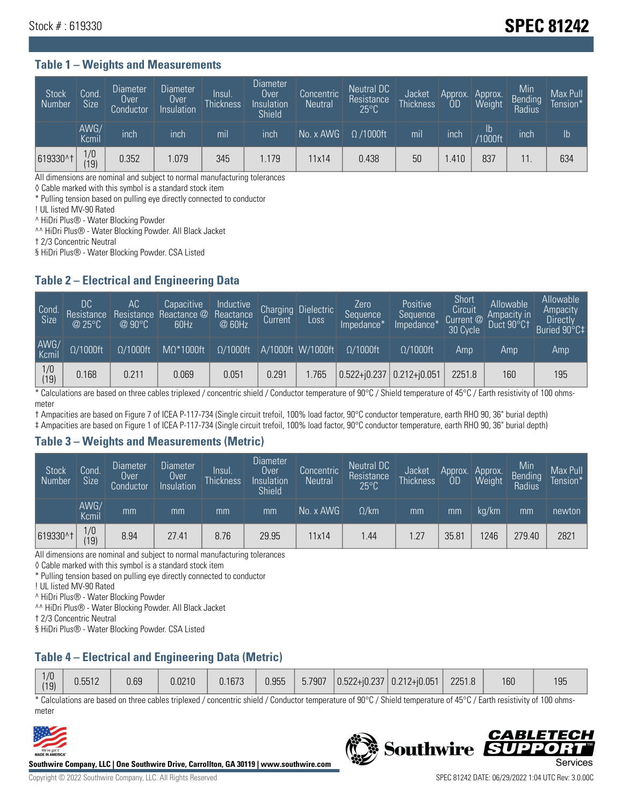# Stock # : 619330 **SPEC 81242**

#### **Table 1 – Weights and Measurements**

| <b>Stock</b><br>Number | Cond.<br><b>Size</b> | <b>Diameter</b><br>Over<br>Conductor | <b>Diameter</b><br>Over<br>Insulation | Insul.<br><b>Thickness</b> | <b>Diameter</b><br>Over<br>Insulation<br>Shield | Concentric<br><b>Neutral</b> | Neutral DC<br>Resistance<br>$25^{\circ}$ C | Jacket<br><b>Thickness</b> | Approx.<br>0D | Approx.<br>Weight        | Min<br>Bending<br>Radius | Max Pull<br>Tension* |
|------------------------|----------------------|--------------------------------------|---------------------------------------|----------------------------|-------------------------------------------------|------------------------------|--------------------------------------------|----------------------------|---------------|--------------------------|--------------------------|----------------------|
|                        | AWG/<br>Kcmil        | inch                                 | inch                                  | mil                        | inch                                            | No. x AWG                    | $\Omega$ /1000ft                           | mil                        | inch          | $\mathsf{lb}$<br>/1000ft | inch                     | Ib                   |
| 619330^†               | 1/0<br>(19)          | 0.352                                | 1.079                                 | 345                        | 1.179                                           | 11x14                        | 0.438                                      | 50                         | .410          | 837                      |                          | 634                  |

All dimensions are nominal and subject to normal manufacturing tolerances

◊ Cable marked with this symbol is a standard stock item

\* Pulling tension based on pulling eye directly connected to conductor

! UL listed MV-90 Rated

^ HiDri Plus® - Water Blocking Powder

^^ HiDri Plus® - Water Blocking Powder. All Black Jacket

† 2/3 Concentric Neutral

§ HiDri Plus® - Water Blocking Powder. CSA Listed

# **Table 2 – Electrical and Engineering Data**

| Cond.<br>Size         | 'DC<br>Resistance<br>@25°C | АC<br>Resistance<br>$\varpi$ 90°C | Capacitive<br>Reactance @<br>60Hz | Inductive<br>Reactance<br>@ 60Hz | <b>Charging</b><br>Current' | <b>Dielectric</b><br>Loss | Zero<br>Sequence<br>Impedance* | Positive<br>Sequence<br>Impedance <sup>+</sup> | Short<br>Circuit<br>Current <sup>@</sup><br>30 Cycle | Allowable<br>Ampacity in<br>Duct 90°C† | Allowable<br>Ampacity<br>Directly<br>Buried 90°C‡ |
|-----------------------|----------------------------|-----------------------------------|-----------------------------------|----------------------------------|-----------------------------|---------------------------|--------------------------------|------------------------------------------------|------------------------------------------------------|----------------------------------------|---------------------------------------------------|
| AWG/<br>Kcmil         | $\Omega/1000$ ft           | $\Omega/1000$ ft                  | $M\Omega^*1000$ ft                | $\Omega/1000$ ft                 |                             | A/1000ft W/1000ft         | $\Omega/1000$ ft               | $\Omega$ /1000ft                               | Amp                                                  | Amp                                    | Amp                                               |
| $\frac{1}{0}$<br>(19) | 0.168                      | 0.211                             | 0.069                             | 0.051                            | 0.291                       | 1.765                     | $0.522 + i0.237$ 0.212+i0.051  |                                                | 2251.8                                               | 160                                    | 195                                               |

\* Calculations are based on three cables triplexed / concentric shield / Conductor temperature of 90°C / Shield temperature of 45°C / Earth resistivity of 100 ohmsmeter

† Ampacities are based on Figure 7 of ICEA P-117-734 (Single circuit trefoil, 100% load factor, 90°C conductor temperature, earth RHO 90, 36" burial depth)

‡ Ampacities are based on Figure 1 of ICEA P-117-734 (Single circuit trefoil, 100% load factor, 90°C conductor temperature, earth RHO 90, 36" burial depth)

#### **Table 3 – Weights and Measurements (Metric)**

| <b>Stock</b><br>Number | Cond.<br>Size | Diameter<br><b>Over</b><br>Conductor | Diameter<br>Over<br>Insulation | Insul.<br><b>Thickness</b> | Diameter<br>Over<br>Insulation<br>Shield | Concentric<br><b>Neutral</b> | Neutral DC<br>Resistance<br>$25^{\circ}$ C | Jacket<br><b>Thickness</b> | Approx.<br>0D | Approx.<br>Weight | Min<br>Bending<br>Radius | Max Pull<br>Tension* |
|------------------------|---------------|--------------------------------------|--------------------------------|----------------------------|------------------------------------------|------------------------------|--------------------------------------------|----------------------------|---------------|-------------------|--------------------------|----------------------|
|                        | AWG/<br>Kcmil | mm                                   | mm                             | mm                         | mm                                       | No. x AWG                    | $\Omega$ /km                               | mm                         | mm            | ka/km             | mm                       | newton               |
| 619330^†               | 1/0<br>(19)   | 8.94                                 | 27.41                          | 8.76                       | 29.95                                    | 11x14                        | .44                                        | 1.27                       | 35.81         | 1246              | 279.40                   | 2821                 |

All dimensions are nominal and subject to normal manufacturing tolerances

◊ Cable marked with this symbol is a standard stock item

\* Pulling tension based on pulling eye directly connected to conductor

! UL listed MV-90 Rated

^ HiDri Plus® - Water Blocking Powder

^^ HiDri Plus® - Water Blocking Powder. All Black Jacket

† 2/3 Concentric Neutral

§ HiDri Plus® - Water Blocking Powder. CSA Listed

# **Table 4 – Electrical and Engineering Data (Metric)**

\* Calculations are based on three cables triplexed / concentric shield / Conductor temperature of 90°C / Shield temperature of 45°C / Earth resistivity of 100 ohmsmeter



**Southwire Company, LLC | One Southwire Drive, Carrollton, GA 30119 | www.southwire.com**